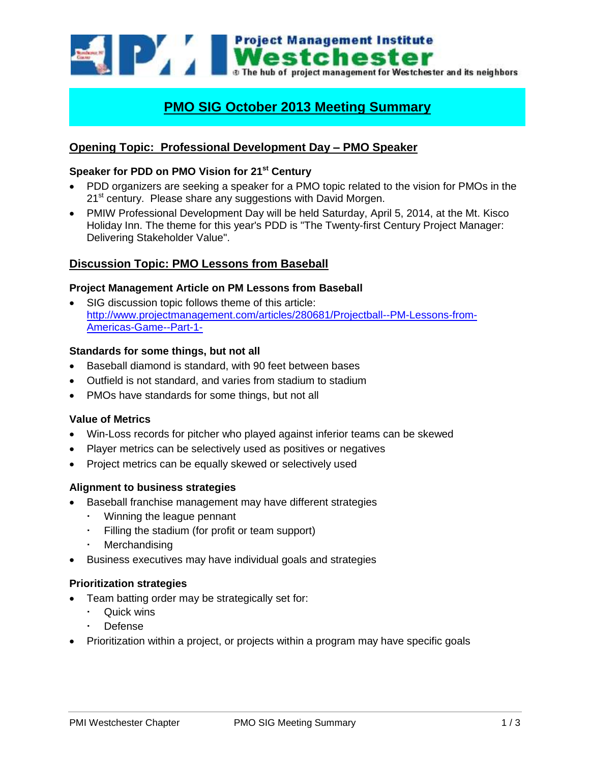Westchester The hub of project management for Westchester and its neighbors

# **PMO SIG October 2013 Meeting Summary**

## **Opening Topic: Professional Development Day – PMO Speaker**

## **Speaker for PDD on PMO Vision for 21st Century**

- PDD organizers are seeking a speaker for a PMO topic related to the vision for PMOs in the 21<sup>st</sup> century. Please share any suggestions with David Morgen.
- PMIW Professional Development Day will be held Saturday, April 5, 2014, at the Mt. Kisco Holiday Inn. The theme for this year's PDD is "The Twenty-first Century Project Manager: Delivering Stakeholder Value".

## **Discussion Topic: PMO Lessons from Baseball**

#### **Project Management Article on PM Lessons from Baseball**

 SIG discussion topic follows theme of this article: [http://www.projectmanagement.com/articles/280681/Projectball--PM-Lessons-from-](http://www.projectmanagement.com/articles/280681/Projectball--PM-Lessons-from-Americas-Game--Part-1-)[Americas-Game--Part-1-](http://www.projectmanagement.com/articles/280681/Projectball--PM-Lessons-from-Americas-Game--Part-1-)

#### **Standards for some things, but not all**

- Baseball diamond is standard, with 90 feet between bases
- Outfield is not standard, and varies from stadium to stadium
- PMOs have standards for some things, but not all

#### **Value of Metrics**

- Win-Loss records for pitcher who played against inferior teams can be skewed
- Player metrics can be selectively used as positives or negatives
- Project metrics can be equally skewed or selectively used

## **Alignment to business strategies**

- Baseball franchise management may have different strategies
	- Winning the league pennant
	- Filling the stadium (for profit or team support)
	- **Merchandising**
- Business executives may have individual goals and strategies

#### **Prioritization strategies**

- Team batting order may be strategically set for:
	- Quick wins
	- Defense
- Prioritization within a project, or projects within a program may have specific goals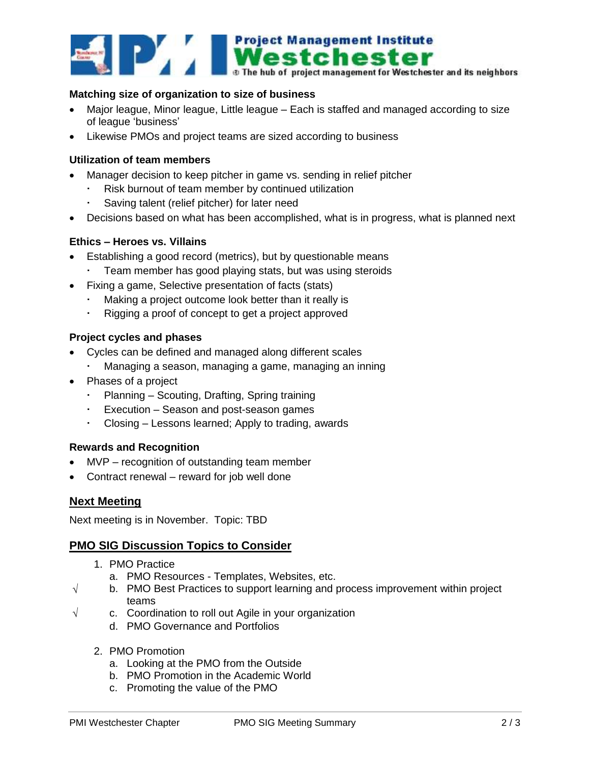

## **Matching size of organization to size of business**

- Major league, Minor league, Little league Each is staffed and managed according to size of league 'business'
- Likewise PMOs and project teams are sized according to business

#### **Utilization of team members**

- Manager decision to keep pitcher in game vs. sending in relief pitcher
	- Risk burnout of team member by continued utilization
	- Saving talent (relief pitcher) for later need
- Decisions based on what has been accomplished, what is in progress, what is planned next

#### **Ethics – Heroes vs. Villains**

- Establishing a good record (metrics), but by questionable means
	- Team member has good playing stats, but was using steroids
- Fixing a game, Selective presentation of facts (stats)
	- Making a project outcome look better than it really is
	- Rigging a proof of concept to get a project approved

#### **Project cycles and phases**

- Cycles can be defined and managed along different scales
	- Managing a season, managing a game, managing an inning
- Phases of a project
	- Planning Scouting, Drafting, Spring training
	- Execution Season and post-season games
	- Closing Lessons learned; Apply to trading, awards

#### **Rewards and Recognition**

- MVP recognition of outstanding team member
- Contract renewal reward for job well done

## **Next Meeting**

Next meeting is in November. Topic: TBD

## **PMO SIG Discussion Topics to Consider**

- 1. PMO Practice
	- a. PMO Resources Templates, Websites, etc.
- $\sqrt{\phantom{a}}$  b. PMO Best Practices to support learning and process improvement within project teams
- $\sqrt{ }$  c. Coordination to roll out Agile in your organization
	- d. PMO Governance and Portfolios
	- 2. PMO Promotion
		- a. Looking at the PMO from the Outside
		- b. PMO Promotion in the Academic World
		- c. Promoting the value of the PMO